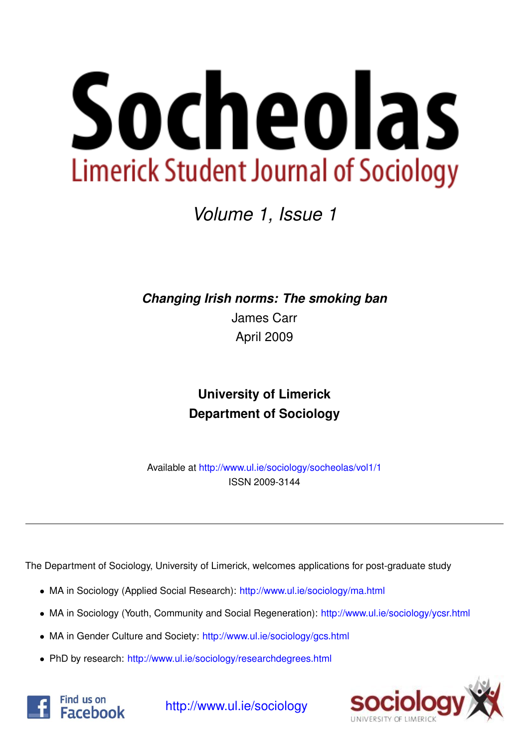

*Volume 1, Issue 1*

*Changing Irish norms: The smoking ban*

James Carr April 2009

# **University of Limerick Department of Sociology**

Available at <http://www.ul.ie/sociology/socheolas/vol1/1> ISSN 2009-3144

The Department of Sociology, University of Limerick, welcomes applications for post-graduate study

- MA in Sociology (Applied Social Research): [http://www.ul.ie/sociology/ma.html](http://www.ul.ie/sociology/ma.html?source=socheolas)
- MA in Sociology (Youth, Community and Social Regeneration): [http://www.ul.ie/sociology/ycsr.html](http://www.ul.ie/sociology/ycsr.html?source=socheolas)
- MA in Gender Culture and Society: [http://www.ul.ie/sociology/gcs.html](http://www.ul.ie/sociology/gcs.html?source=socheolas)
- PhD by research: [http://www.ul.ie/sociology/researchdegrees.html](http://www.ul.ie/sociology/researchdegrees.html?source=socheolas)





[http://www.ul.ie/sociology](http://www.ul.ie/sociology/?source=socheolas)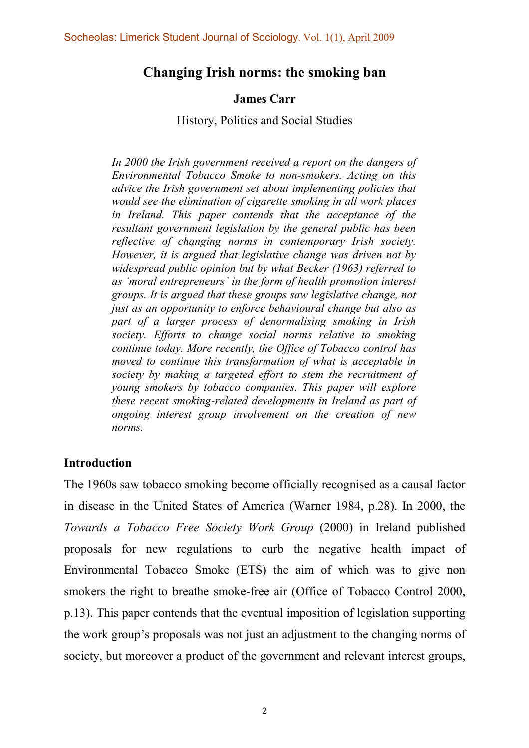## Changing Irish norms: the smoking ban

## James Carr

History, Politics and Social Studies

In 2000 the Irish government received a report on the dangers of Environmental Tobacco Smoke to non-smokers. Acting on this advice the Irish government set about implementing policies that would see the elimination of cigarette smoking in all work places in Ireland. This paper contends that the acceptance of the resultant government legislation by the general public has been reflective of changing norms in contemporary Irish society. However, it is argued that legislative change was driven not by widespread public opinion but by what Becker (1963) referred to as 'moral entrepreneurs' in the form of health promotion interest groups. It is argued that these groups saw legislative change, not just as an opportunity to enforce behavioural change but also as part of a larger process of denormalising smoking in Irish society. Efforts to change social norms relative to smoking continue today. More recently, the Office of Tobacco control has moved to continue this transformation of what is acceptable in society by making a targeted effort to stem the recruitment of young smokers by tobacco companies. This paper will explore these recent smoking-related developments in Ireland as part of ongoing interest group involvement on the creation of new norms.

## Introduction

The 1960s saw tobacco smoking become officially recognised as a causal factor in disease in the United States of America (Warner 1984, p.28). In 2000, the Towards a Tobacco Free Society Work Group (2000) in Ireland published proposals for new regulations to curb the negative health impact of Environmental Tobacco Smoke (ETS) the aim of which was to give non smokers the right to breathe smoke-free air (Office of Tobacco Control 2000, p.13). This paper contends that the eventual imposition of legislation supporting the work group's proposals was not just an adjustment to the changing norms of society, but moreover a product of the government and relevant interest groups,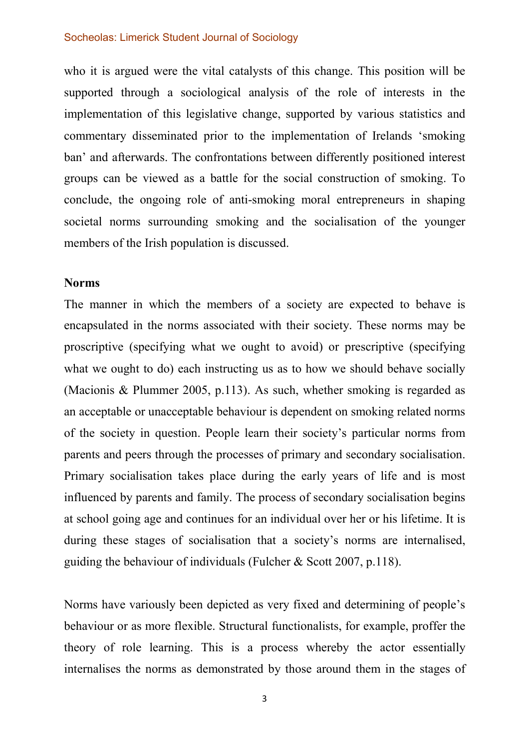who it is argued were the vital catalysts of this change. This position will be supported through a sociological analysis of the role of interests in the implementation of this legislative change, supported by various statistics and commentary disseminated prior to the implementation of Irelands 'smoking ban' and afterwards. The confrontations between differently positioned interest groups can be viewed as a battle for the social construction of smoking. To conclude, the ongoing role of anti-smoking moral entrepreneurs in shaping societal norms surrounding smoking and the socialisation of the younger members of the Irish population is discussed.

## Norms

The manner in which the members of a society are expected to behave is encapsulated in the norms associated with their society. These norms may be proscriptive (specifying what we ought to avoid) or prescriptive (specifying what we ought to do) each instructing us as to how we should behave socially (Macionis & Plummer 2005, p.113). As such, whether smoking is regarded as an acceptable or unacceptable behaviour is dependent on smoking related norms of the society in question. People learn their society's particular norms from parents and peers through the processes of primary and secondary socialisation. Primary socialisation takes place during the early years of life and is most influenced by parents and family. The process of secondary socialisation begins at school going age and continues for an individual over her or his lifetime. It is during these stages of socialisation that a society's norms are internalised, guiding the behaviour of individuals (Fulcher & Scott 2007, p.118).

Norms have variously been depicted as very fixed and determining of people's behaviour or as more flexible. Structural functionalists, for example, proffer the theory of role learning. This is a process whereby the actor essentially internalises the norms as demonstrated by those around them in the stages of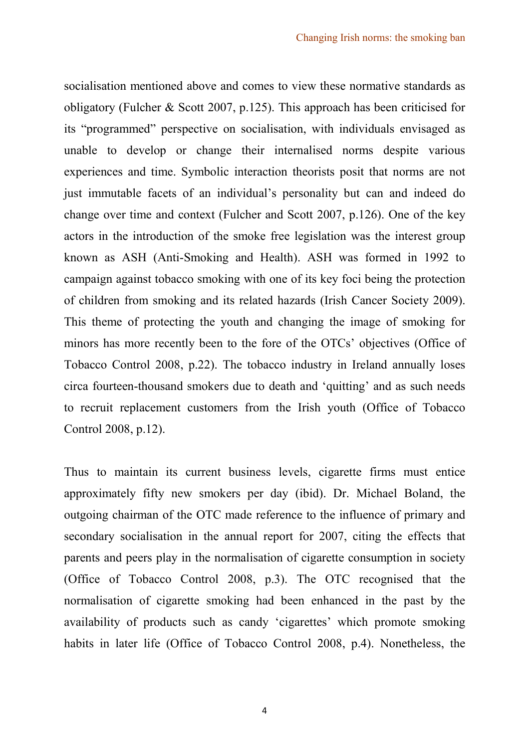socialisation mentioned above and comes to view these normative standards as obligatory (Fulcher & Scott 2007, p.125). This approach has been criticised for its "programmed" perspective on socialisation, with individuals envisaged as unable to develop or change their internalised norms despite various experiences and time. Symbolic interaction theorists posit that norms are not just immutable facets of an individual's personality but can and indeed do change over time and context (Fulcher and Scott 2007, p.126). One of the key actors in the introduction of the smoke free legislation was the interest group known as ASH (Anti-Smoking and Health). ASH was formed in 1992 to campaign against tobacco smoking with one of its key foci being the protection of children from smoking and its related hazards (Irish Cancer Society 2009). This theme of protecting the youth and changing the image of smoking for minors has more recently been to the fore of the OTCs' objectives (Office of Tobacco Control 2008, p.22). The tobacco industry in Ireland annually loses circa fourteen-thousand smokers due to death and 'quitting' and as such needs to recruit replacement customers from the Irish youth (Office of Tobacco Control 2008, p.12).

Thus to maintain its current business levels, cigarette firms must entice approximately fifty new smokers per day (ibid). Dr. Michael Boland, the outgoing chairman of the OTC made reference to the influence of primary and secondary socialisation in the annual report for 2007, citing the effects that parents and peers play in the normalisation of cigarette consumption in society (Office of Tobacco Control 2008, p.3). The OTC recognised that the normalisation of cigarette smoking had been enhanced in the past by the availability of products such as candy 'cigarettes' which promote smoking habits in later life (Office of Tobacco Control 2008, p.4). Nonetheless, the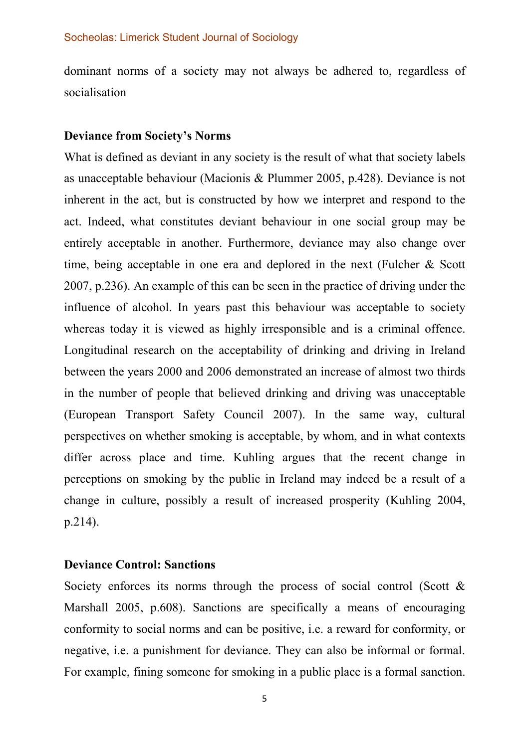dominant norms of a society may not always be adhered to, regardless of socialisation

### Deviance from Society's Norms

What is defined as deviant in any society is the result of what that society labels as unacceptable behaviour (Macionis & Plummer 2005, p.428). Deviance is not inherent in the act, but is constructed by how we interpret and respond to the act. Indeed, what constitutes deviant behaviour in one social group may be entirely acceptable in another. Furthermore, deviance may also change over time, being acceptable in one era and deplored in the next (Fulcher & Scott 2007, p.236). An example of this can be seen in the practice of driving under the influence of alcohol. In years past this behaviour was acceptable to society whereas today it is viewed as highly irresponsible and is a criminal offence. Longitudinal research on the acceptability of drinking and driving in Ireland between the years 2000 and 2006 demonstrated an increase of almost two thirds in the number of people that believed drinking and driving was unacceptable (European Transport Safety Council 2007). In the same way, cultural perspectives on whether smoking is acceptable, by whom, and in what contexts differ across place and time. Kuhling argues that the recent change in perceptions on smoking by the public in Ireland may indeed be a result of a change in culture, possibly a result of increased prosperity (Kuhling 2004, p.214).

## Deviance Control: Sanctions

Society enforces its norms through the process of social control (Scott  $\&$ Marshall 2005, p.608). Sanctions are specifically a means of encouraging conformity to social norms and can be positive, i.e. a reward for conformity, or negative, i.e. a punishment for deviance. They can also be informal or formal. For example, fining someone for smoking in a public place is a formal sanction.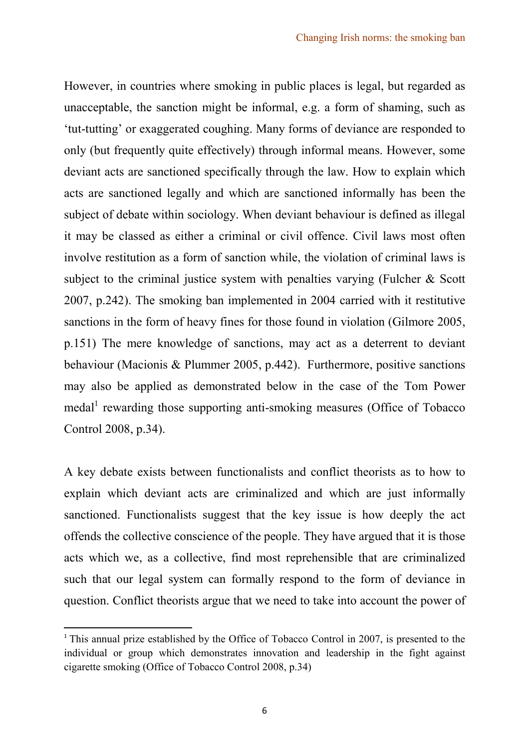However, in countries where smoking in public places is legal, but regarded as unacceptable, the sanction might be informal, e.g. a form of shaming, such as 'tut-tutting' or exaggerated coughing. Many forms of deviance are responded to only (but frequently quite effectively) through informal means. However, some deviant acts are sanctioned specifically through the law. How to explain which acts are sanctioned legally and which are sanctioned informally has been the subject of debate within sociology. When deviant behaviour is defined as illegal it may be classed as either a criminal or civil offence. Civil laws most often involve restitution as a form of sanction while, the violation of criminal laws is subject to the criminal justice system with penalties varying (Fulcher & Scott 2007, p.242). The smoking ban implemented in 2004 carried with it restitutive sanctions in the form of heavy fines for those found in violation (Gilmore 2005, p.151) The mere knowledge of sanctions, may act as a deterrent to deviant behaviour (Macionis & Plummer 2005, p.442). Furthermore, positive sanctions may also be applied as demonstrated below in the case of the Tom Power medal<sup>1</sup> rewarding those supporting anti-smoking measures (Office of Tobacco Control 2008, p.34).

A key debate exists between functionalists and conflict theorists as to how to explain which deviant acts are criminalized and which are just informally sanctioned. Functionalists suggest that the key issue is how deeply the act offends the collective conscience of the people. They have argued that it is those acts which we, as a collective, find most reprehensible that are criminalized such that our legal system can formally respond to the form of deviance in question. Conflict theorists argue that we need to take into account the power of

l

 $1$ <sup>1</sup> This annual prize established by the Office of Tobacco Control in 2007, is presented to the individual or group which demonstrates innovation and leadership in the fight against cigarette smoking (Office of Tobacco Control 2008, p.34)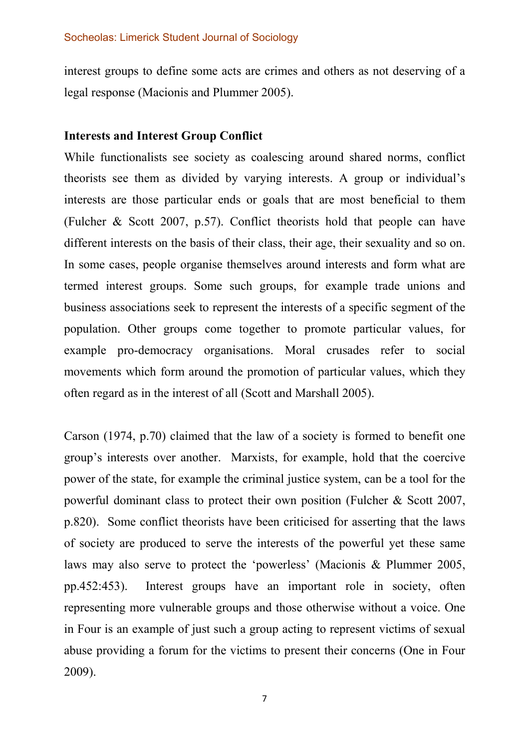interest groups to define some acts are crimes and others as not deserving of a legal response (Macionis and Plummer 2005).

## Interests and Interest Group Conflict

While functionalists see society as coalescing around shared norms, conflict theorists see them as divided by varying interests. A group or individual's interests are those particular ends or goals that are most beneficial to them (Fulcher & Scott 2007, p.57). Conflict theorists hold that people can have different interests on the basis of their class, their age, their sexuality and so on. In some cases, people organise themselves around interests and form what are termed interest groups. Some such groups, for example trade unions and business associations seek to represent the interests of a specific segment of the population. Other groups come together to promote particular values, for example pro-democracy organisations. Moral crusades refer to social movements which form around the promotion of particular values, which they often regard as in the interest of all (Scott and Marshall 2005).

Carson (1974, p.70) claimed that the law of a society is formed to benefit one group's interests over another. Marxists, for example, hold that the coercive power of the state, for example the criminal justice system, can be a tool for the powerful dominant class to protect their own position (Fulcher & Scott 2007, p.820). Some conflict theorists have been criticised for asserting that the laws of society are produced to serve the interests of the powerful yet these same laws may also serve to protect the 'powerless' (Macionis & Plummer 2005, pp.452:453). Interest groups have an important role in society, often representing more vulnerable groups and those otherwise without a voice. One in Four is an example of just such a group acting to represent victims of sexual abuse providing a forum for the victims to present their concerns (One in Four 2009).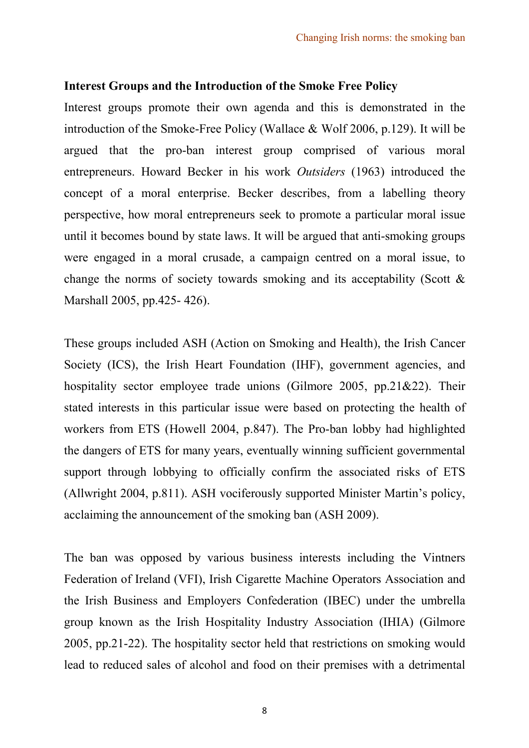## Interest Groups and the Introduction of the Smoke Free Policy

Interest groups promote their own agenda and this is demonstrated in the introduction of the Smoke-Free Policy (Wallace & Wolf 2006, p.129). It will be argued that the pro-ban interest group comprised of various moral entrepreneurs. Howard Becker in his work Outsiders (1963) introduced the concept of a moral enterprise. Becker describes, from a labelling theory perspective, how moral entrepreneurs seek to promote a particular moral issue until it becomes bound by state laws. It will be argued that anti-smoking groups were engaged in a moral crusade, a campaign centred on a moral issue, to change the norms of society towards smoking and its acceptability (Scott  $\&$ Marshall 2005, pp.425- 426).

These groups included ASH (Action on Smoking and Health), the Irish Cancer Society (ICS), the Irish Heart Foundation (IHF), government agencies, and hospitality sector employee trade unions (Gilmore 2005, pp.21&22). Their stated interests in this particular issue were based on protecting the health of workers from ETS (Howell 2004, p.847). The Pro-ban lobby had highlighted the dangers of ETS for many years, eventually winning sufficient governmental support through lobbying to officially confirm the associated risks of ETS (Allwright 2004, p.811). ASH vociferously supported Minister Martin's policy, acclaiming the announcement of the smoking ban (ASH 2009).

The ban was opposed by various business interests including the Vintners Federation of Ireland (VFI), Irish Cigarette Machine Operators Association and the Irish Business and Employers Confederation (IBEC) under the umbrella group known as the Irish Hospitality Industry Association (IHIA) (Gilmore 2005, pp.21-22). The hospitality sector held that restrictions on smoking would lead to reduced sales of alcohol and food on their premises with a detrimental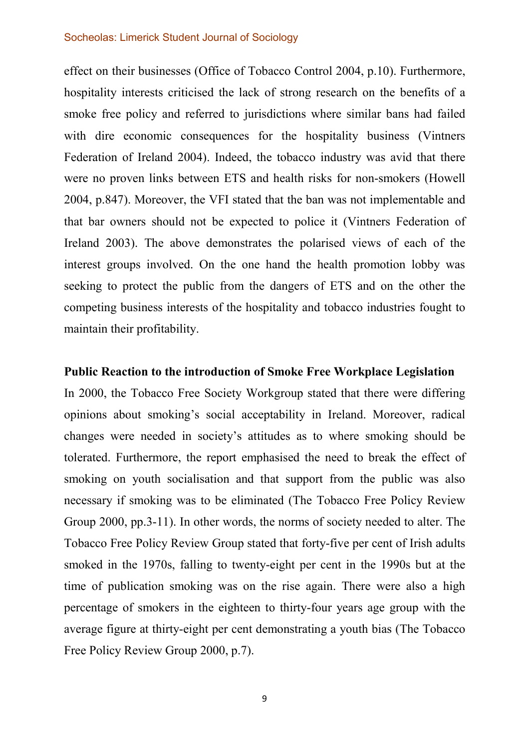effect on their businesses (Office of Tobacco Control 2004, p.10). Furthermore, hospitality interests criticised the lack of strong research on the benefits of a smoke free policy and referred to jurisdictions where similar bans had failed with dire economic consequences for the hospitality business (Vintners Federation of Ireland 2004). Indeed, the tobacco industry was avid that there were no proven links between ETS and health risks for non-smokers (Howell 2004, p.847). Moreover, the VFI stated that the ban was not implementable and that bar owners should not be expected to police it (Vintners Federation of Ireland 2003). The above demonstrates the polarised views of each of the interest groups involved. On the one hand the health promotion lobby was seeking to protect the public from the dangers of ETS and on the other the competing business interests of the hospitality and tobacco industries fought to maintain their profitability.

#### Public Reaction to the introduction of Smoke Free Workplace Legislation

In 2000, the Tobacco Free Society Workgroup stated that there were differing opinions about smoking's social acceptability in Ireland. Moreover, radical changes were needed in society's attitudes as to where smoking should be tolerated. Furthermore, the report emphasised the need to break the effect of smoking on youth socialisation and that support from the public was also necessary if smoking was to be eliminated (The Tobacco Free Policy Review Group 2000, pp.3-11). In other words, the norms of society needed to alter. The Tobacco Free Policy Review Group stated that forty-five per cent of Irish adults smoked in the 1970s, falling to twenty-eight per cent in the 1990s but at the time of publication smoking was on the rise again. There were also a high percentage of smokers in the eighteen to thirty-four years age group with the average figure at thirty-eight per cent demonstrating a youth bias (The Tobacco Free Policy Review Group 2000, p.7).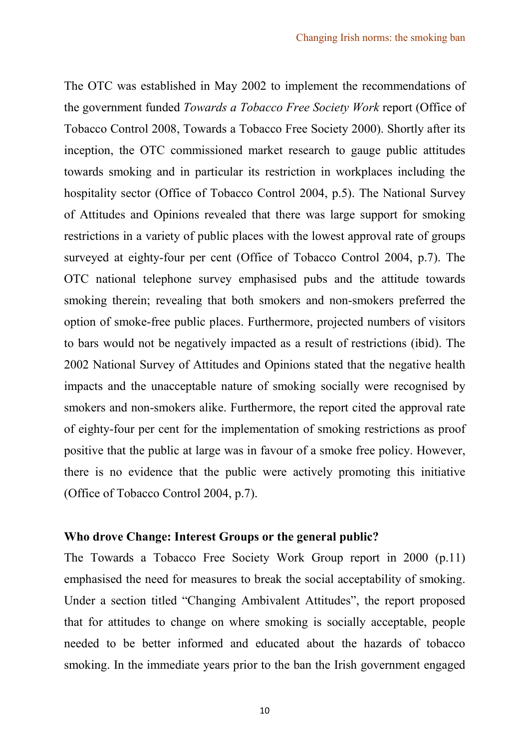The OTC was established in May 2002 to implement the recommendations of the government funded Towards a Tobacco Free Society Work report (Office of Tobacco Control 2008, Towards a Tobacco Free Society 2000). Shortly after its inception, the OTC commissioned market research to gauge public attitudes towards smoking and in particular its restriction in workplaces including the hospitality sector (Office of Tobacco Control 2004, p.5). The National Survey of Attitudes and Opinions revealed that there was large support for smoking restrictions in a variety of public places with the lowest approval rate of groups surveyed at eighty-four per cent (Office of Tobacco Control 2004, p.7). The OTC national telephone survey emphasised pubs and the attitude towards smoking therein; revealing that both smokers and non-smokers preferred the option of smoke-free public places. Furthermore, projected numbers of visitors to bars would not be negatively impacted as a result of restrictions (ibid). The 2002 National Survey of Attitudes and Opinions stated that the negative health impacts and the unacceptable nature of smoking socially were recognised by smokers and non-smokers alike. Furthermore, the report cited the approval rate of eighty-four per cent for the implementation of smoking restrictions as proof positive that the public at large was in favour of a smoke free policy. However, there is no evidence that the public were actively promoting this initiative (Office of Tobacco Control 2004, p.7).

## Who drove Change: Interest Groups or the general public?

The Towards a Tobacco Free Society Work Group report in 2000 (p.11) emphasised the need for measures to break the social acceptability of smoking. Under a section titled "Changing Ambivalent Attitudes", the report proposed that for attitudes to change on where smoking is socially acceptable, people needed to be better informed and educated about the hazards of tobacco smoking. In the immediate years prior to the ban the Irish government engaged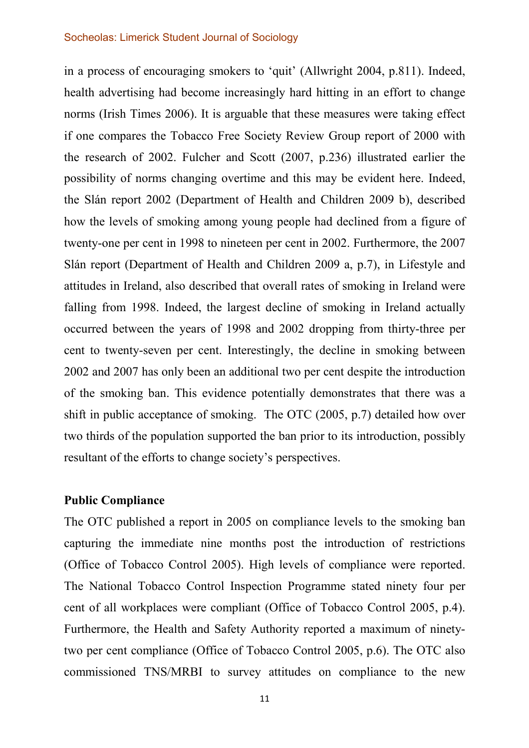in a process of encouraging smokers to 'quit' (Allwright 2004, p.811). Indeed, health advertising had become increasingly hard hitting in an effort to change norms (Irish Times 2006). It is arguable that these measures were taking effect if one compares the Tobacco Free Society Review Group report of 2000 with the research of 2002. Fulcher and Scott (2007, p.236) illustrated earlier the possibility of norms changing overtime and this may be evident here. Indeed, the Slán report 2002 (Department of Health and Children 2009 b), described how the levels of smoking among young people had declined from a figure of twenty-one per cent in 1998 to nineteen per cent in 2002. Furthermore, the 2007 Slán report (Department of Health and Children 2009 a, p.7), in Lifestyle and attitudes in Ireland, also described that overall rates of smoking in Ireland were falling from 1998. Indeed, the largest decline of smoking in Ireland actually occurred between the years of 1998 and 2002 dropping from thirty-three per cent to twenty-seven per cent. Interestingly, the decline in smoking between 2002 and 2007 has only been an additional two per cent despite the introduction of the smoking ban. This evidence potentially demonstrates that there was a shift in public acceptance of smoking. The OTC (2005, p.7) detailed how over two thirds of the population supported the ban prior to its introduction, possibly resultant of the efforts to change society's perspectives.

## Public Compliance

The OTC published a report in 2005 on compliance levels to the smoking ban capturing the immediate nine months post the introduction of restrictions (Office of Tobacco Control 2005). High levels of compliance were reported. The National Tobacco Control Inspection Programme stated ninety four per cent of all workplaces were compliant (Office of Tobacco Control 2005, p.4). Furthermore, the Health and Safety Authority reported a maximum of ninetytwo per cent compliance (Office of Tobacco Control 2005, p.6). The OTC also commissioned TNS/MRBI to survey attitudes on compliance to the new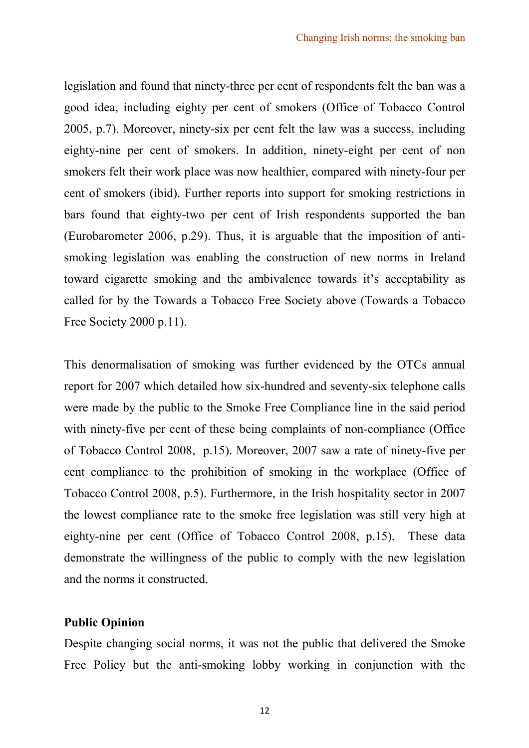legislation and found that ninety-three per cent of respondents felt the ban was a good idea, including eighty per cent of smokers (Office of Tobacco Control 2005, p.7). Moreover, ninety-six per cent felt the law was a success, including eighty-nine per cent of smokers. In addition, ninety-eight per cent of non smokers felt their work place was now healthier, compared with ninety-four per cent of smokers (ibid). Further reports into support for smoking restrictions in bars found that eighty-two per cent of Irish respondents supported the ban (Eurobarometer 2006, p.29). Thus, it is arguable that the imposition of antismoking legislation was enabling the construction of new norms in Ireland toward cigarette smoking and the ambivalence towards it's acceptability as called for by the Towards a Tobacco Free Society above (Towards a Tobacco Free Society 2000 p.11).

This denormalisation of smoking was further evidenced by the OTCs annual report for 2007 which detailed how six-hundred and seventy-six telephone calls were made by the public to the Smoke Free Compliance line in the said period with ninety-five per cent of these being complaints of non-compliance (Office of Tobacco Control 2008, p.15). Moreover, 2007 saw a rate of ninety-five per cent compliance to the prohibition of smoking in the workplace (Office of Tobacco Control 2008, p.5). Furthermore, in the Irish hospitality sector in 2007 the lowest compliance rate to the smoke free legislation was still very high at eighty-nine per cent (Office of Tobacco Control 2008, p.15). These data demonstrate the willingness of the public to comply with the new legislation and the norms it constructed.

## Public Opinion

Despite changing social norms, it was not the public that delivered the Smoke Free Policy but the anti-smoking lobby working in conjunction with the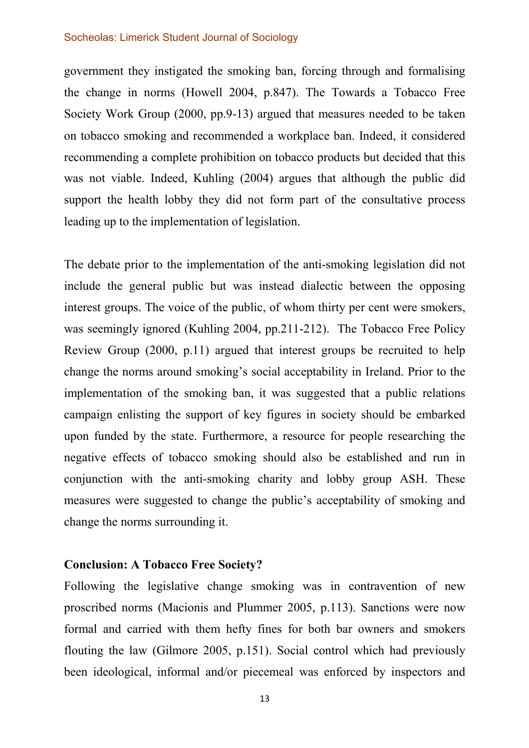government they instigated the smoking ban, forcing through and formalising the change in norms (Howell 2004, p.847). The Towards a Tobacco Free Society Work Group (2000, pp.9-13) argued that measures needed to be taken on tobacco smoking and recommended a workplace ban. Indeed, it considered recommending a complete prohibition on tobacco products but decided that this was not viable. Indeed, Kuhling (2004) argues that although the public did support the health lobby they did not form part of the consultative process leading up to the implementation of legislation.

The debate prior to the implementation of the anti-smoking legislation did not include the general public but was instead dialectic between the opposing interest groups. The voice of the public, of whom thirty per cent were smokers, was seemingly ignored (Kuhling 2004, pp.211-212). The Tobacco Free Policy Review Group (2000, p.11) argued that interest groups be recruited to help change the norms around smoking's social acceptability in Ireland. Prior to the implementation of the smoking ban, it was suggested that a public relations campaign enlisting the support of key figures in society should be embarked upon funded by the state. Furthermore, a resource for people researching the negative effects of tobacco smoking should also be established and run in conjunction with the anti-smoking charity and lobby group ASH. These measures were suggested to change the public's acceptability of smoking and change the norms surrounding it.

## Conclusion: A Tobacco Free Society?

Following the legislative change smoking was in contravention of new proscribed norms (Macionis and Plummer 2005, p.113). Sanctions were now formal and carried with them hefty fines for both bar owners and smokers flouting the law (Gilmore 2005, p.151). Social control which had previously been ideological, informal and/or piecemeal was enforced by inspectors and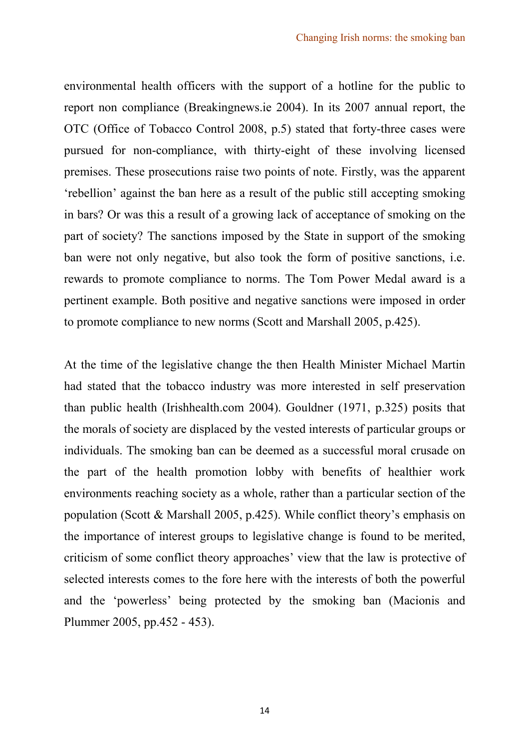environmental health officers with the support of a hotline for the public to report non compliance (Breakingnews.ie 2004). In its 2007 annual report, the OTC (Office of Tobacco Control 2008, p.5) stated that forty-three cases were pursued for non-compliance, with thirty-eight of these involving licensed premises. These prosecutions raise two points of note. Firstly, was the apparent 'rebellion' against the ban here as a result of the public still accepting smoking in bars? Or was this a result of a growing lack of acceptance of smoking on the part of society? The sanctions imposed by the State in support of the smoking ban were not only negative, but also took the form of positive sanctions, i.e. rewards to promote compliance to norms. The Tom Power Medal award is a pertinent example. Both positive and negative sanctions were imposed in order to promote compliance to new norms (Scott and Marshall 2005, p.425).

At the time of the legislative change the then Health Minister Michael Martin had stated that the tobacco industry was more interested in self preservation than public health (Irishhealth.com 2004). Gouldner (1971, p.325) posits that the morals of society are displaced by the vested interests of particular groups or individuals. The smoking ban can be deemed as a successful moral crusade on the part of the health promotion lobby with benefits of healthier work environments reaching society as a whole, rather than a particular section of the population (Scott & Marshall 2005, p.425). While conflict theory's emphasis on the importance of interest groups to legislative change is found to be merited, criticism of some conflict theory approaches' view that the law is protective of selected interests comes to the fore here with the interests of both the powerful and the 'powerless' being protected by the smoking ban (Macionis and Plummer 2005, pp.452 - 453).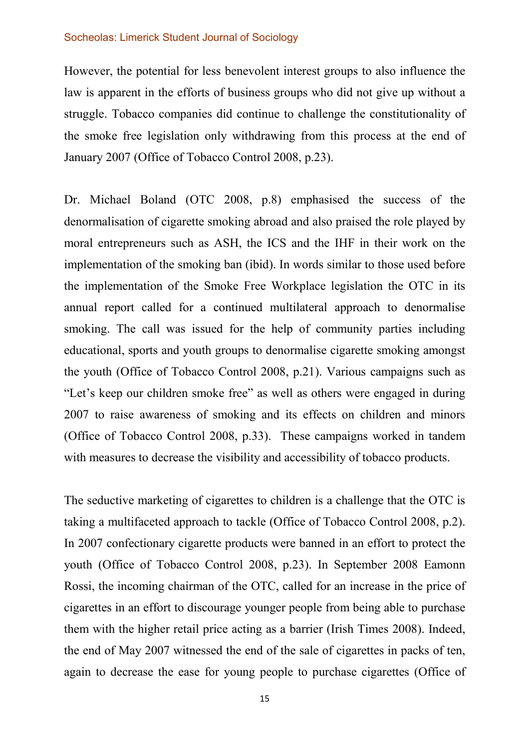However, the potential for less benevolent interest groups to also influence the law is apparent in the efforts of business groups who did not give up without a struggle. Tobacco companies did continue to challenge the constitutionality of the smoke free legislation only withdrawing from this process at the end of January 2007 (Office of Tobacco Control 2008, p.23).

Dr. Michael Boland (OTC 2008, p.8) emphasised the success of the denormalisation of cigarette smoking abroad and also praised the role played by moral entrepreneurs such as ASH, the ICS and the IHF in their work on the implementation of the smoking ban (ibid). In words similar to those used before the implementation of the Smoke Free Workplace legislation the OTC in its annual report called for a continued multilateral approach to denormalise smoking. The call was issued for the help of community parties including educational, sports and youth groups to denormalise cigarette smoking amongst the youth (Office of Tobacco Control 2008, p.21). Various campaigns such as "Let's keep our children smoke free" as well as others were engaged in during 2007 to raise awareness of smoking and its effects on children and minors (Office of Tobacco Control 2008, p.33). These campaigns worked in tandem with measures to decrease the visibility and accessibility of tobacco products.

The seductive marketing of cigarettes to children is a challenge that the OTC is taking a multifaceted approach to tackle (Office of Tobacco Control 2008, p.2). In 2007 confectionary cigarette products were banned in an effort to protect the youth (Office of Tobacco Control 2008, p.23). In September 2008 Eamonn Rossi, the incoming chairman of the OTC, called for an increase in the price of cigarettes in an effort to discourage younger people from being able to purchase them with the higher retail price acting as a barrier (Irish Times 2008). Indeed, the end of May 2007 witnessed the end of the sale of cigarettes in packs of ten, again to decrease the ease for young people to purchase cigarettes (Office of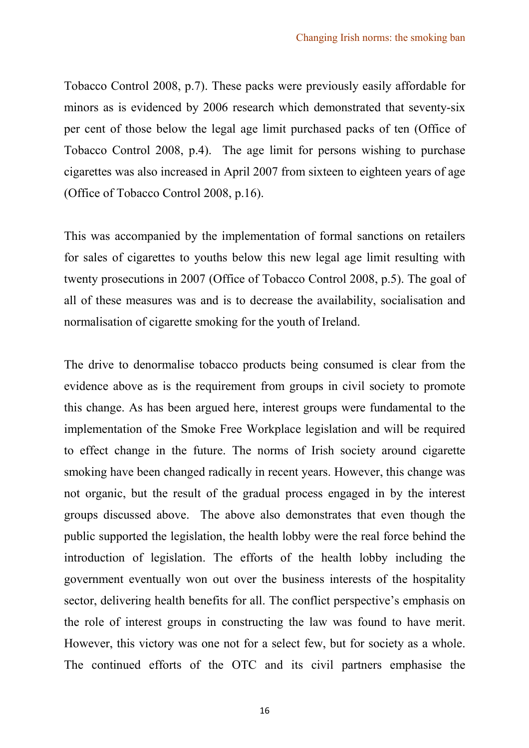Tobacco Control 2008, p.7). These packs were previously easily affordable for minors as is evidenced by 2006 research which demonstrated that seventy-six per cent of those below the legal age limit purchased packs of ten (Office of Tobacco Control 2008, p.4). The age limit for persons wishing to purchase cigarettes was also increased in April 2007 from sixteen to eighteen years of age (Office of Tobacco Control 2008, p.16).

This was accompanied by the implementation of formal sanctions on retailers for sales of cigarettes to youths below this new legal age limit resulting with twenty prosecutions in 2007 (Office of Tobacco Control 2008, p.5). The goal of all of these measures was and is to decrease the availability, socialisation and normalisation of cigarette smoking for the youth of Ireland.

The drive to denormalise tobacco products being consumed is clear from the evidence above as is the requirement from groups in civil society to promote this change. As has been argued here, interest groups were fundamental to the implementation of the Smoke Free Workplace legislation and will be required to effect change in the future. The norms of Irish society around cigarette smoking have been changed radically in recent years. However, this change was not organic, but the result of the gradual process engaged in by the interest groups discussed above. The above also demonstrates that even though the public supported the legislation, the health lobby were the real force behind the introduction of legislation. The efforts of the health lobby including the government eventually won out over the business interests of the hospitality sector, delivering health benefits for all. The conflict perspective's emphasis on the role of interest groups in constructing the law was found to have merit. However, this victory was one not for a select few, but for society as a whole. The continued efforts of the OTC and its civil partners emphasise the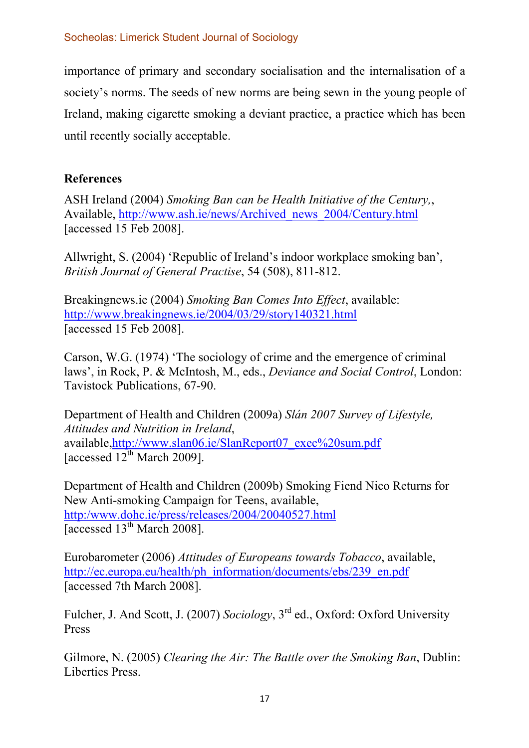importance of primary and secondary socialisation and the internalisation of a society's norms. The seeds of new norms are being sewn in the young people of Ireland, making cigarette smoking a deviant practice, a practice which has been until recently socially acceptable.

## References

ASH Ireland (2004) Smoking Ban can be Health Initiative of the Century,, Available, http://www.ash.ie/news/Archived\_news\_2004/Century.html [accessed 15 Feb 2008].

Allwright, S. (2004) 'Republic of Ireland's indoor workplace smoking ban', British Journal of General Practise, 54 (508), 811-812.

Breakingnews.ie (2004) Smoking Ban Comes Into Effect, available: http://www.breakingnews.ie/2004/03/29/story140321.html [accessed 15 Feb 2008].

Carson, W.G. (1974) 'The sociology of crime and the emergence of criminal laws', in Rock, P. & McIntosh, M., eds., Deviance and Social Control, London: Tavistock Publications, 67-90.

Department of Health and Children (2009a) Slán 2007 Survey of Lifestyle, Attitudes and Nutrition in Ireland, available,http://www.slan06.ie/SlanReport07\_exec%20sum.pdf [accessed  $12^{th}$  March 2009].

Department of Health and Children (2009b) Smoking Fiend Nico Returns for New Anti-smoking Campaign for Teens, available, http:/www.dohc.ie/press/releases/2004/20040527.html [accessed  $13<sup>th</sup>$  March 2008].

Eurobarometer (2006) Attitudes of Europeans towards Tobacco, available, http://ec.europa.eu/health/ph\_information/documents/ebs/239\_en.pdf [accessed 7th March 2008].

Fulcher, J. And Scott, J. (2007) Sociology, 3rd ed., Oxford: Oxford University Press

Gilmore, N. (2005) Clearing the Air: The Battle over the Smoking Ban, Dublin: Liberties Press.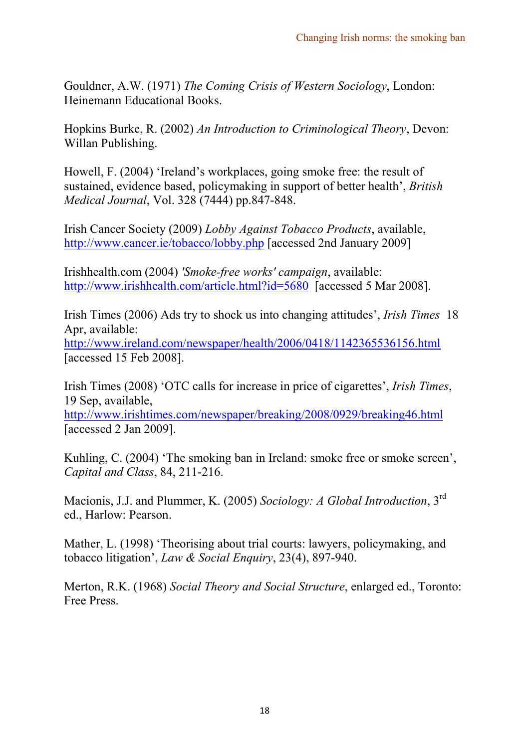Gouldner, A.W. (1971) The Coming Crisis of Western Sociology, London: Heinemann Educational Books.

Hopkins Burke, R. (2002) An Introduction to Criminological Theory, Devon: Willan Publishing.

Howell, F. (2004) 'Ireland's workplaces, going smoke free: the result of sustained, evidence based, policymaking in support of better health', British Medical Journal, Vol. 328 (7444) pp.847-848.

Irish Cancer Society (2009) Lobby Against Tobacco Products, available, http://www.cancer.ie/tobacco/lobby.php [accessed 2nd January 2009]

Irishhealth.com (2004) 'Smoke-free works' campaign, available: http://www.irishhealth.com/article.html?id=5680 [accessed 5 Mar 2008].

Irish Times (2006) Ads try to shock us into changing attitudes', Irish Times 18 Apr, available:

http://www.ireland.com/newspaper/health/2006/0418/1142365536156.html [accessed 15 Feb 2008].

Irish Times (2008) 'OTC calls for increase in price of cigarettes', Irish Times, 19 Sep, available,

http://www.irishtimes.com/newspaper/breaking/2008/0929/breaking46.html [accessed 2 Jan 2009].

Kuhling, C. (2004) 'The smoking ban in Ireland: smoke free or smoke screen', Capital and Class, 84, 211-216.

Macionis, J.J. and Plummer, K. (2005) Sociology: A Global Introduction, 3<sup>rd</sup> ed., Harlow: Pearson.

Mather, L. (1998) 'Theorising about trial courts: lawyers, policymaking, and tobacco litigation', Law & Social Enquiry, 23(4), 897-940.

Merton, R.K. (1968) Social Theory and Social Structure, enlarged ed., Toronto: Free Press.